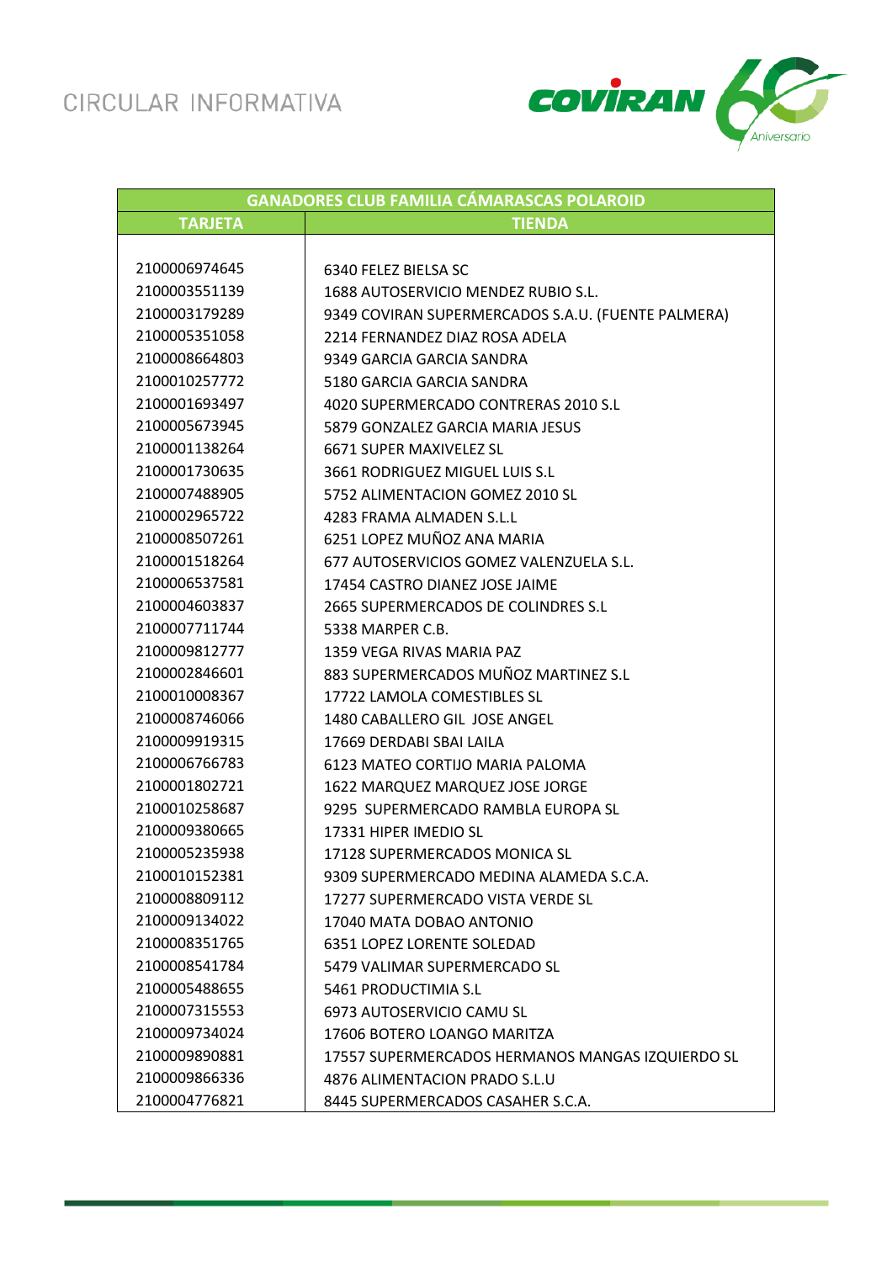## CIRCULAR INFORMATIVA



| <b>GANADORES CLUB FAMILIA CÁMARASCAS POLAROID</b> |                                                    |  |
|---------------------------------------------------|----------------------------------------------------|--|
| <b>TARJETA</b>                                    | <b>TIENDA</b>                                      |  |
|                                                   |                                                    |  |
| 2100006974645                                     | 6340 FELEZ BIELSA SC                               |  |
| 2100003551139                                     | 1688 AUTOSERVICIO MENDEZ RUBIO S.L.                |  |
| 2100003179289                                     | 9349 COVIRAN SUPERMERCADOS S.A.U. (FUENTE PALMERA) |  |
| 2100005351058                                     | 2214 FERNANDEZ DIAZ ROSA ADELA                     |  |
| 2100008664803                                     | 9349 GARCIA GARCIA SANDRA                          |  |
| 2100010257772                                     | 5180 GARCIA GARCIA SANDRA                          |  |
| 2100001693497                                     | 4020 SUPERMERCADO CONTRERAS 2010 S.L               |  |
| 2100005673945                                     | 5879 GONZALEZ GARCIA MARIA JESUS                   |  |
| 2100001138264                                     | 6671 SUPER MAXIVELEZ SL                            |  |
| 2100001730635                                     | 3661 RODRIGUEZ MIGUEL LUIS S.L                     |  |
| 2100007488905                                     | 5752 ALIMENTACION GOMEZ 2010 SL                    |  |
| 2100002965722                                     | 4283 FRAMA ALMADEN S.L.L                           |  |
| 2100008507261                                     | 6251 LOPEZ MUÑOZ ANA MARIA                         |  |
| 2100001518264                                     | 677 AUTOSERVICIOS GOMEZ VALENZUELA S.L.            |  |
| 2100006537581                                     | 17454 CASTRO DIANEZ JOSE JAIME                     |  |
| 2100004603837                                     | 2665 SUPERMERCADOS DE COLINDRES S.L                |  |
| 2100007711744                                     | 5338 MARPER C.B.                                   |  |
| 2100009812777                                     | 1359 VEGA RIVAS MARIA PAZ                          |  |
| 2100002846601                                     | 883 SUPERMERCADOS MUÑOZ MARTINEZ S.L               |  |
| 2100010008367                                     | 17722 LAMOLA COMESTIBLES SL                        |  |
| 2100008746066                                     | 1480 CABALLERO GIL JOSE ANGEL                      |  |
| 2100009919315                                     | 17669 DERDABI SBAI LAILA                           |  |
| 2100006766783                                     | 6123 MATEO CORTIJO MARIA PALOMA                    |  |
| 2100001802721                                     | 1622 MARQUEZ MARQUEZ JOSE JORGE                    |  |
| 2100010258687                                     | 9295 SUPERMERCADO RAMBLA EUROPA SL                 |  |
| 2100009380665                                     | 17331 HIPER IMEDIO SL                              |  |
| 2100005235938                                     | 17128 SUPERMERCADOS MONICA SL                      |  |
| 2100010152381                                     | 9309 SUPERMERCADO MEDINA ALAMEDA S.C.A.            |  |
| 2100008809112                                     | 17277 SUPERMERCADO VISTA VERDE SL                  |  |
| 2100009134022                                     | 17040 MATA DOBAO ANTONIO                           |  |
| 2100008351765                                     | 6351 LOPEZ LORENTE SOLEDAD                         |  |
| 2100008541784                                     | 5479 VALIMAR SUPERMERCADO SL                       |  |
| 2100005488655                                     | 5461 PRODUCTIMIA S.L                               |  |
| 2100007315553                                     | 6973 AUTOSERVICIO CAMU SL                          |  |
| 2100009734024                                     | 17606 BOTERO LOANGO MARITZA                        |  |
| 2100009890881                                     | 17557 SUPERMERCADOS HERMANOS MANGAS IZQUIERDO SL   |  |
| 2100009866336                                     | 4876 ALIMENTACION PRADO S.L.U                      |  |
| 2100004776821                                     | 8445 SUPERMERCADOS CASAHER S.C.A.                  |  |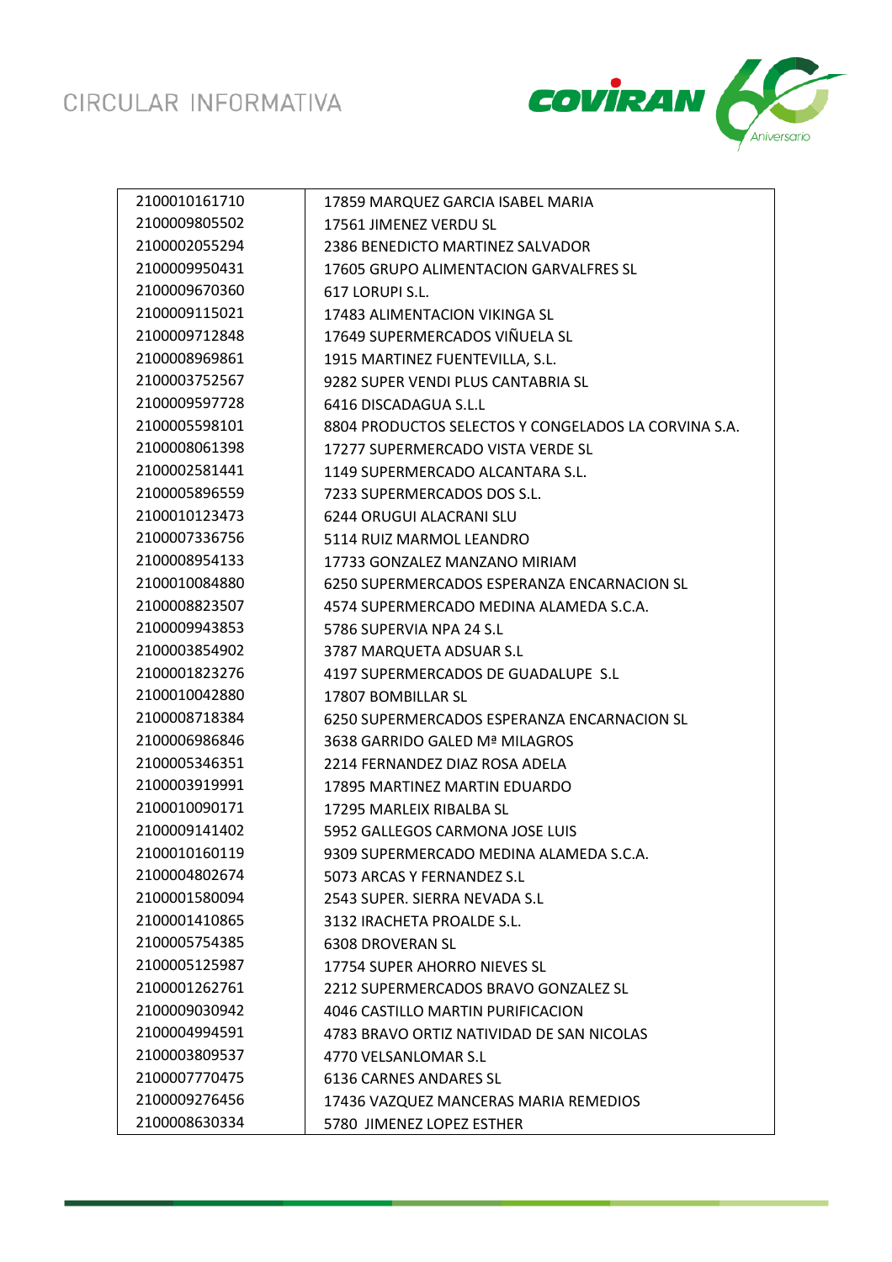CIRCULAR INFORMATIVA



| 2100010161710 | 17859 MARQUEZ GARCIA ISABEL MARIA                    |
|---------------|------------------------------------------------------|
| 2100009805502 | 17561 JIMENEZ VERDU SL                               |
| 2100002055294 | 2386 BENEDICTO MARTINEZ SALVADOR                     |
| 2100009950431 | 17605 GRUPO ALIMENTACION GARVALFRES SL               |
| 2100009670360 | 617 LORUPI S.L.                                      |
| 2100009115021 | 17483 ALIMENTACION VIKINGA SL                        |
| 2100009712848 | 17649 SUPERMERCADOS VIÑUELA SL                       |
| 2100008969861 | 1915 MARTINEZ FUENTEVILLA, S.L.                      |
| 2100003752567 | 9282 SUPER VENDI PLUS CANTABRIA SL                   |
| 2100009597728 | 6416 DISCADAGUA S.L.L                                |
| 2100005598101 | 8804 PRODUCTOS SELECTOS Y CONGELADOS LA CORVINA S.A. |
| 2100008061398 | 17277 SUPERMERCADO VISTA VERDE SL                    |
| 2100002581441 | 1149 SUPERMERCADO ALCANTARA S.L.                     |
| 2100005896559 | 7233 SUPERMERCADOS DOS S.L.                          |
| 2100010123473 | 6244 ORUGUI ALACRANI SLU                             |
| 2100007336756 | 5114 RUIZ MARMOL LEANDRO                             |
| 2100008954133 | 17733 GONZALEZ MANZANO MIRIAM                        |
| 2100010084880 | 6250 SUPERMERCADOS ESPERANZA ENCARNACION SL          |
| 2100008823507 | 4574 SUPERMERCADO MEDINA ALAMEDA S.C.A.              |
| 2100009943853 | 5786 SUPERVIA NPA 24 S.L.                            |
| 2100003854902 | 3787 MARQUETA ADSUAR S.L                             |
| 2100001823276 | 4197 SUPERMERCADOS DE GUADALUPE S.L                  |
| 2100010042880 | 17807 BOMBILLAR SL                                   |
| 2100008718384 | 6250 SUPERMERCADOS ESPERANZA ENCARNACION SL          |
| 2100006986846 | 3638 GARRIDO GALED Mª MILAGROS                       |
| 2100005346351 | 2214 FERNANDEZ DIAZ ROSA ADELA                       |
| 2100003919991 | 17895 MARTINEZ MARTIN EDUARDO                        |
| 2100010090171 | 17295 MARLEIX RIBALBA SL                             |
| 2100009141402 | 5952 GALLEGOS CARMONA JOSE LUIS                      |
| 2100010160119 | 9309 SUPERMERCADO MEDINA ALAMEDA S.C.A.              |
| 2100004802674 | 5073 ARCAS Y FERNANDEZ S.L                           |
| 2100001580094 | 2543 SUPER, SIERRA NEVADA S.L.                       |
| 2100001410865 | 3132 IRACHETA PROALDE S.L.                           |
| 2100005754385 | <b>6308 DROVERAN SL</b>                              |
| 2100005125987 | 17754 SUPER AHORRO NIEVES SL                         |
| 2100001262761 | 2212 SUPERMERCADOS BRAVO GONZALEZ SL                 |
| 2100009030942 | 4046 CASTILLO MARTIN PURIFICACION                    |
| 2100004994591 | 4783 BRAVO ORTIZ NATIVIDAD DE SAN NICOLAS            |
| 2100003809537 | 4770 VELSANLOMAR S.L                                 |
| 2100007770475 | 6136 CARNES ANDARES SL                               |
| 2100009276456 | 17436 VAZQUEZ MANCERAS MARIA REMEDIOS                |
| 2100008630334 | 5780 JIMENEZ LOPEZ ESTHER                            |